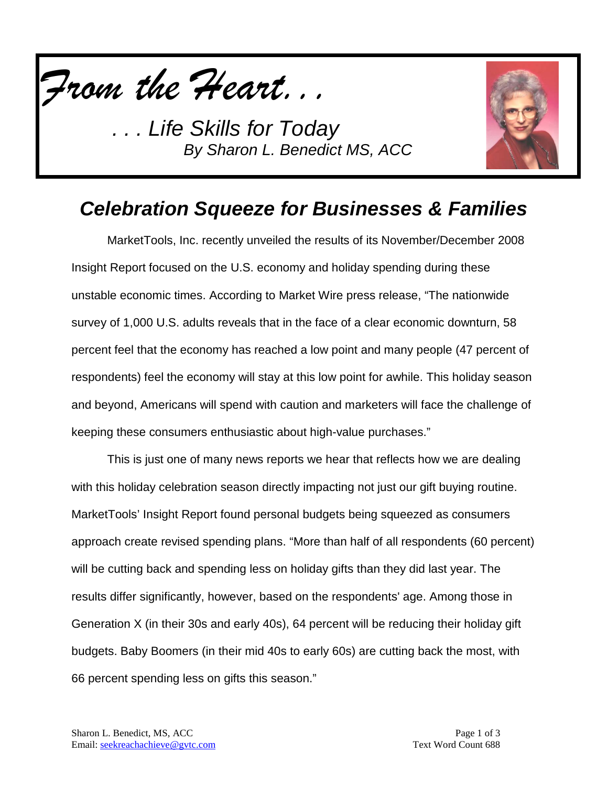



## *Celebration Squeeze for Businesses & Families*

MarketTools, Inc. recently unveiled the results of its November/December 2008 Insight Report focused on the U.S. economy and holiday spending during these unstable economic times. According to Market Wire press release, "The nationwide survey of 1,000 U.S. adults reveals that in the face of a clear economic downturn, 58 percent feel that the economy has reached a low point and many people (47 percent of respondents) feel the economy will stay at this low point for awhile. This holiday season and beyond, Americans will spend with caution and marketers will face the challenge of keeping these consumers enthusiastic about high-value purchases."

This is just one of many news reports we hear that reflects how we are dealing with this holiday celebration season directly impacting not just our gift buying routine. MarketTools' Insight Report found personal budgets being squeezed as consumers approach create revised spending plans. "More than half of all respondents (60 percent) will be cutting back and spending less on holiday gifts than they did last year. The results differ significantly, however, based on the respondents' age. Among those in Generation X (in their 30s and early 40s), 64 percent will be reducing their holiday gift budgets. Baby Boomers (in their mid 40s to early 60s) are cutting back the most, with 66 percent spending less on gifts this season."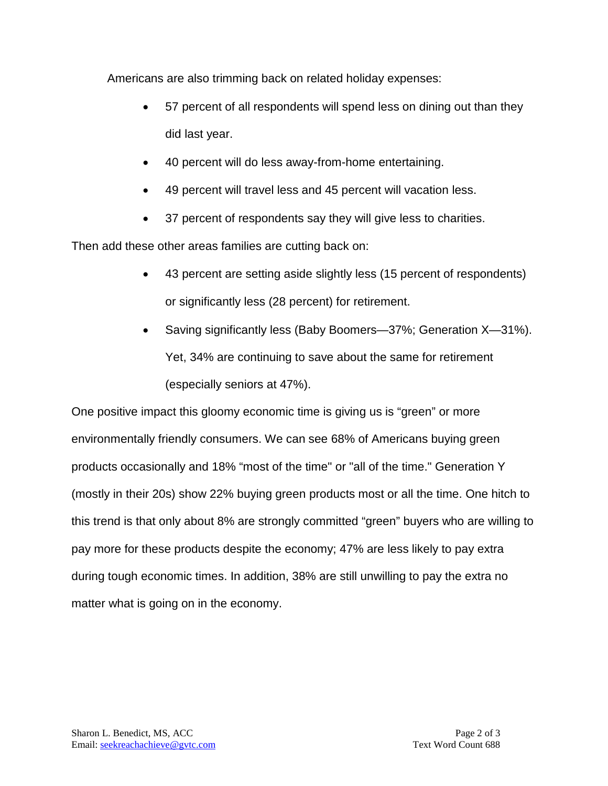Americans are also trimming back on related holiday expenses:

- 57 percent of all respondents will spend less on dining out than they did last year.
- 40 percent will do less away-from-home entertaining.
- 49 percent will travel less and 45 percent will vacation less.
- 37 percent of respondents say they will give less to charities.

Then add these other areas families are cutting back on:

- 43 percent are setting aside slightly less (15 percent of respondents) or significantly less (28 percent) for retirement.
- Saving significantly less (Baby Boomers—37%; Generation X—31%). Yet, 34% are continuing to save about the same for retirement (especially seniors at 47%).

One positive impact this gloomy economic time is giving us is "green" or more environmentally friendly consumers. We can see 68% of Americans buying green products occasionally and 18% "most of the time" or "all of the time." Generation Y (mostly in their 20s) show 22% buying green products most or all the time. One hitch to this trend is that only about 8% are strongly committed "green" buyers who are willing to pay more for these products despite the economy; 47% are less likely to pay extra during tough economic times. In addition, 38% are still unwilling to pay the extra no matter what is going on in the economy.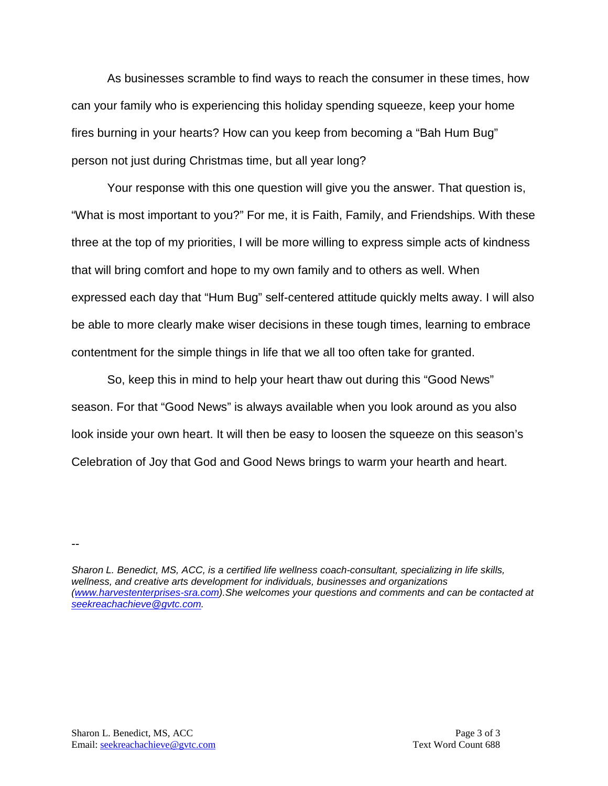As businesses scramble to find ways to reach the consumer in these times, how can your family who is experiencing this holiday spending squeeze, keep your home fires burning in your hearts? How can you keep from becoming a "Bah Hum Bug" person not just during Christmas time, but all year long?

Your response with this one question will give you the answer. That question is, "What is most important to you?" For me, it is Faith, Family, and Friendships. With these three at the top of my priorities, I will be more willing to express simple acts of kindness that will bring comfort and hope to my own family and to others as well. When expressed each day that "Hum Bug" self-centered attitude quickly melts away. I will also be able to more clearly make wiser decisions in these tough times, learning to embrace contentment for the simple things in life that we all too often take for granted.

So, keep this in mind to help your heart thaw out during this "Good News" season. For that "Good News" is always available when you look around as you also look inside your own heart. It will then be easy to loosen the squeeze on this season's Celebration of Joy that God and Good News brings to warm your hearth and heart.

--

*Sharon L. Benedict, MS, ACC, is a certified life wellness coach-consultant, specializing in life skills, wellness, and creative arts development for individuals, businesses and organizations [\(www.harvestenterprises-sra.com\)](http://www.harvestenterprises-sra.com/).She welcomes your questions and comments and can be contacted at [seekreachachieve@gvtc.com.](mailto:seekreachachieve@gvtc.com)*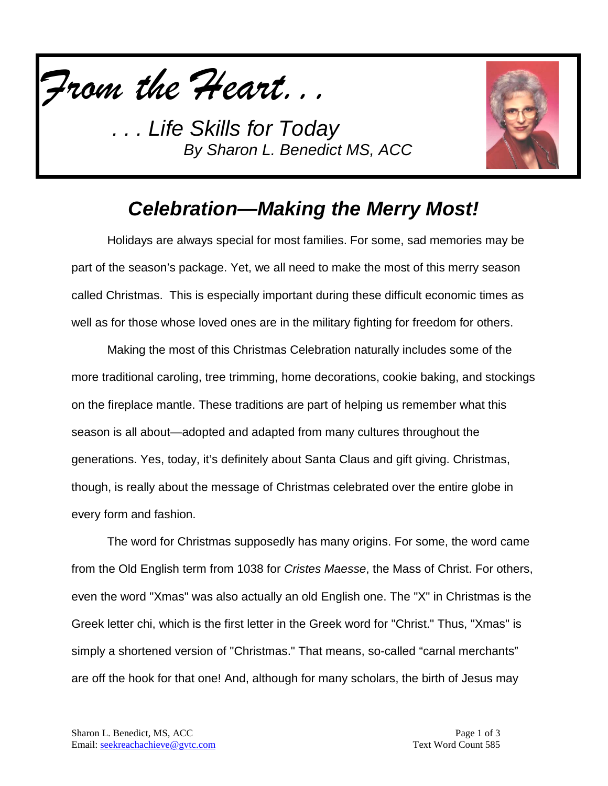



## *Celebration—Making the Merry Most!*

Holidays are always special for most families. For some, sad memories may be part of the season's package. Yet, we all need to make the most of this merry season called Christmas. This is especially important during these difficult economic times as well as for those whose loved ones are in the military fighting for freedom for others.

Making the most of this Christmas Celebration naturally includes some of the more traditional caroling, tree trimming, home decorations, cookie baking, and stockings on the fireplace mantle. These traditions are part of helping us remember what this season is all about—adopted and adapted from many cultures throughout the generations. Yes, today, it's definitely about Santa Claus and gift giving. Christmas, though, is really about the message of Christmas celebrated over the entire globe in every form and fashion.

The word for Christmas supposedly has many origins. For some, the word came from the Old English term from 1038 for *Cristes Maesse*, the Mass of Christ. For others, even the word "Xmas" was also actually an old English one. The "X" in Christmas is the Greek letter chi, which is the first letter in the Greek word for "Christ." Thus, "Xmas" is simply a shortened version of "Christmas." That means, so-called "carnal merchants" are off the hook for that one! And, although for many scholars, the birth of Jesus may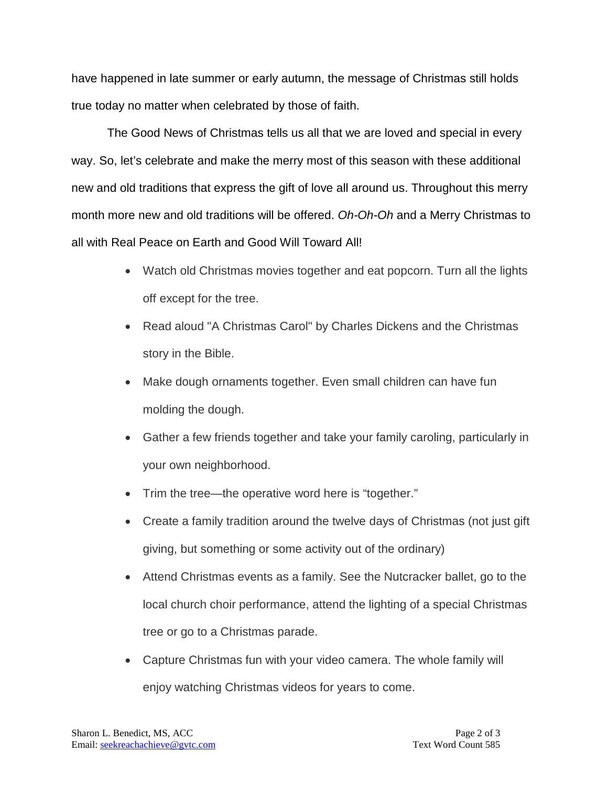have happened in late summer or early autumn, the message of Christmas still holds true today no matter when celebrated by those of faith.

The Good News of Christmas tells us all that we are loved and special in every way. So, let's celebrate and make the merry most of this season with these additional new and old traditions that express the gift of love all around us. Throughout this merry month more new and old traditions will be offered. *Oh-Oh-Oh* and a Merry Christmas to all with Real Peace on Earth and Good Will Toward All!

- Watch old Christmas movies together and eat popcorn. Turn all the lights off except for the tree.
- Read aloud "A Christmas Carol" by Charles Dickens and the Christmas story in the Bible.
- Make dough ornaments together. Even small children can have fun molding the dough.
- Gather a few friends together and take your family caroling, particularly in your own neighborhood.
- Trim the tree—the operative word here is "together."
- Create a family tradition around the twelve days of Christmas (not just gift giving, but something or some activity out of the ordinary)
- Attend Christmas events as a family. See the Nutcracker ballet, go to the local church choir performance, attend the lighting of a special Christmas tree or go to a Christmas parade.
- Capture Christmas fun with your video camera. The whole family will enjoy watching Christmas videos for years to come.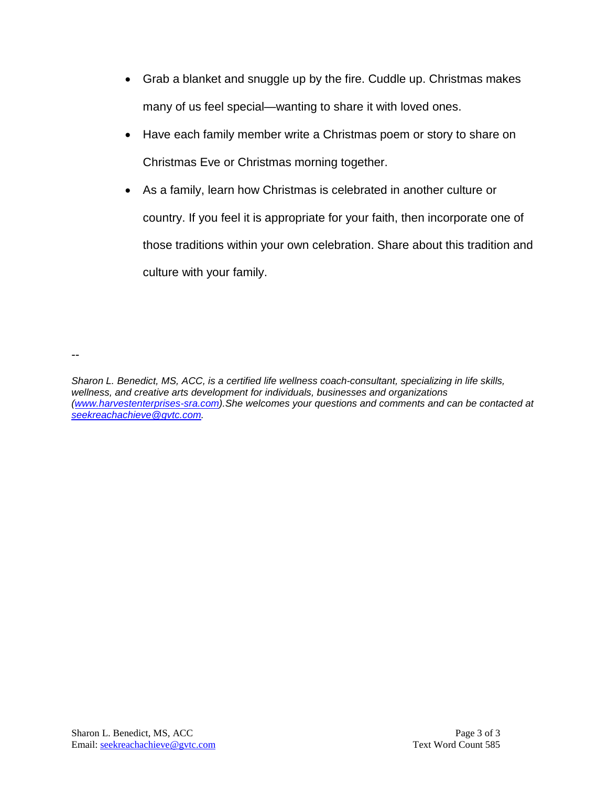- Grab a blanket and snuggle up by the fire. Cuddle up. Christmas makes many of us feel special—wanting to share it with loved ones.
- Have each family member write a Christmas poem or story to share on Christmas Eve or Christmas morning together.
- As a family, learn how Christmas is celebrated in another culture or country. If you feel it is appropriate for your faith, then incorporate one of those traditions within your own celebration. Share about this tradition and culture with your family.

--

*Sharon L. Benedict, MS, ACC, is a certified life wellness coach-consultant, specializing in life skills, wellness, and creative arts development for individuals, businesses and organizations [\(www.harvestenterprises-sra.com\)](http://www.harvestenterprises-sra.com/).She welcomes your questions and comments and can be contacted at [seekreachachieve@gvtc.com.](mailto:seekreachachieve@gvtc.com)*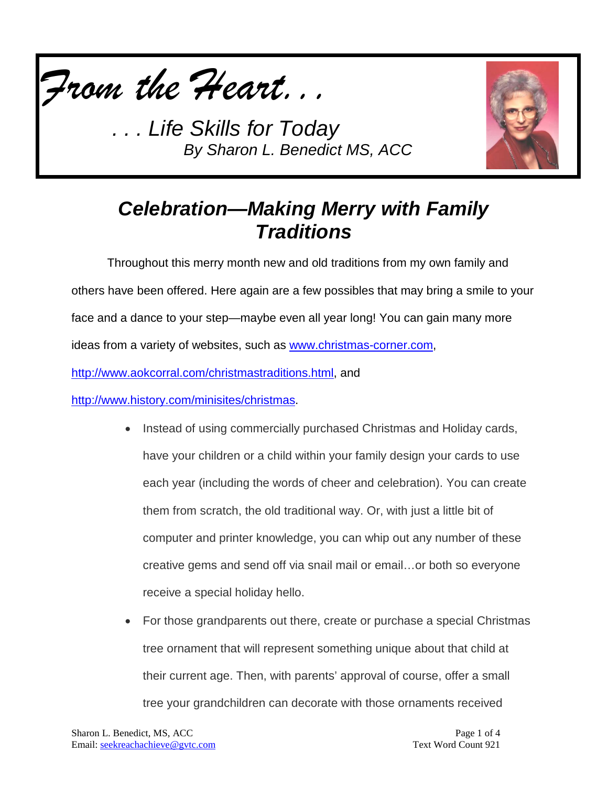



## *Celebration—Making Merry with Family Traditions*

Throughout this merry month new and old traditions from my own family and others have been offered. Here again are a few possibles that may bring a smile to your face and a dance to your step—maybe even all year long! You can gain many more ideas from a variety of websites, such as [www.christmas-corner.com,](http://www.christmas-corner.com/)

[http://www.aokcorral.com/christmastraditions.html,](http://www.aokcorral.com/christmastraditions.html) and

[http://www.history.com/minisites/christmas.](http://www.history.com/minisites/christmas)

- Instead of using commercially purchased Christmas and Holiday cards, have your children or a child within your family design your cards to use each year (including the words of cheer and celebration). You can create them from scratch, the old traditional way. Or, with just a little bit of computer and printer knowledge, you can whip out any number of these creative gems and send off via snail mail or email…or both so everyone receive a special holiday hello.
- For those grandparents out there, create or purchase a special Christmas tree ornament that will represent something unique about that child at their current age. Then, with parents' approval of course, offer a small tree your grandchildren can decorate with those ornaments received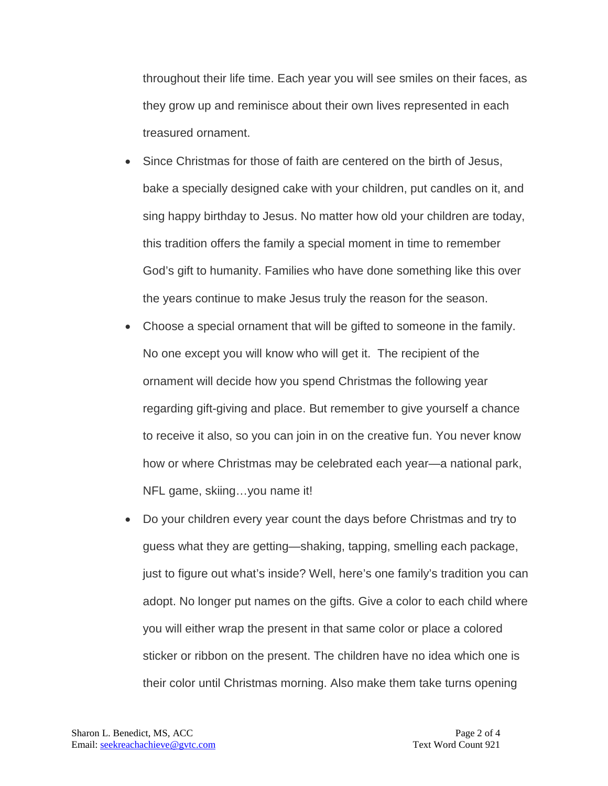throughout their life time. Each year you will see smiles on their faces, as they grow up and reminisce about their own lives represented in each treasured ornament.

- Since Christmas for those of faith are centered on the birth of Jesus, bake a specially designed cake with your children, put candles on it, and sing happy birthday to Jesus. No matter how old your children are today, this tradition offers the family a special moment in time to remember God's gift to humanity. Families who have done something like this over the years continue to make Jesus truly the reason for the season.
- Choose a special ornament that will be gifted to someone in the family. No one except you will know who will get it. The recipient of the ornament will decide how you spend Christmas the following year regarding gift-giving and place. But remember to give yourself a chance to receive it also, so you can join in on the creative fun. You never know how or where Christmas may be celebrated each year—a national park, NFL game, skiing…you name it!
- Do your children every year count the days before Christmas and try to guess what they are getting—shaking, tapping, smelling each package, just to figure out what's inside? Well, here's one family's tradition you can adopt. No longer put names on the gifts. Give a color to each child where you will either wrap the present in that same color or place a colored sticker or ribbon on the present. The children have no idea which one is their color until Christmas morning. Also make them take turns opening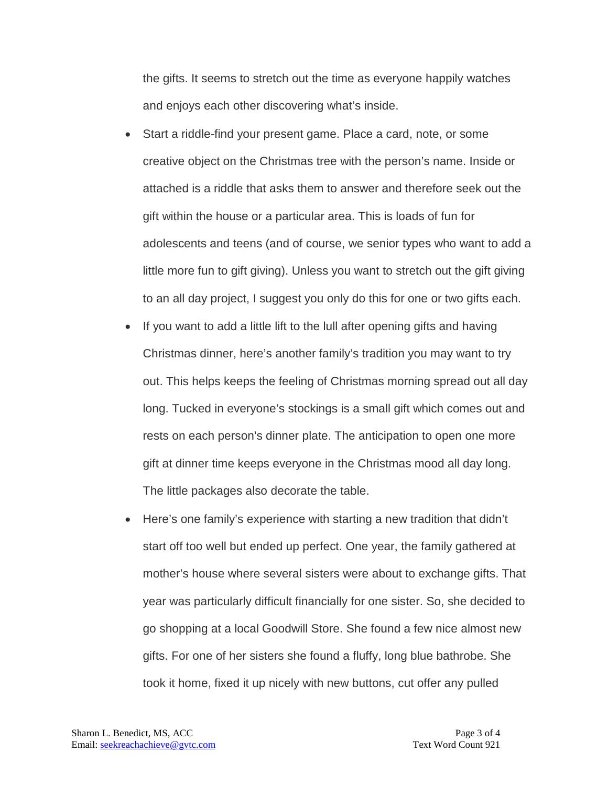the gifts. It seems to stretch out the time as everyone happily watches and enjoys each other discovering what's inside.

- Start a riddle-find your present game. Place a card, note, or some creative object on the Christmas tree with the person's name. Inside or attached is a riddle that asks them to answer and therefore seek out the gift within the house or a particular area. This is loads of fun for adolescents and teens (and of course, we senior types who want to add a little more fun to gift giving). Unless you want to stretch out the gift giving to an all day project, I suggest you only do this for one or two gifts each.
- If you want to add a little lift to the lull after opening gifts and having Christmas dinner, here's another family's tradition you may want to try out. This helps keeps the feeling of Christmas morning spread out all day long. Tucked in everyone's stockings is a small gift which comes out and rests on each person's dinner plate. The anticipation to open one more gift at dinner time keeps everyone in the Christmas mood all day long. The little packages also decorate the table.
- Here's one family's experience with starting a new tradition that didn't start off too well but ended up perfect. One year, the family gathered at mother's house where several sisters were about to exchange gifts. That year was particularly difficult financially for one sister. So, she decided to go shopping at a local Goodwill Store. She found a few nice almost new gifts. For one of her sisters she found a fluffy, long blue bathrobe. She took it home, fixed it up nicely with new buttons, cut offer any pulled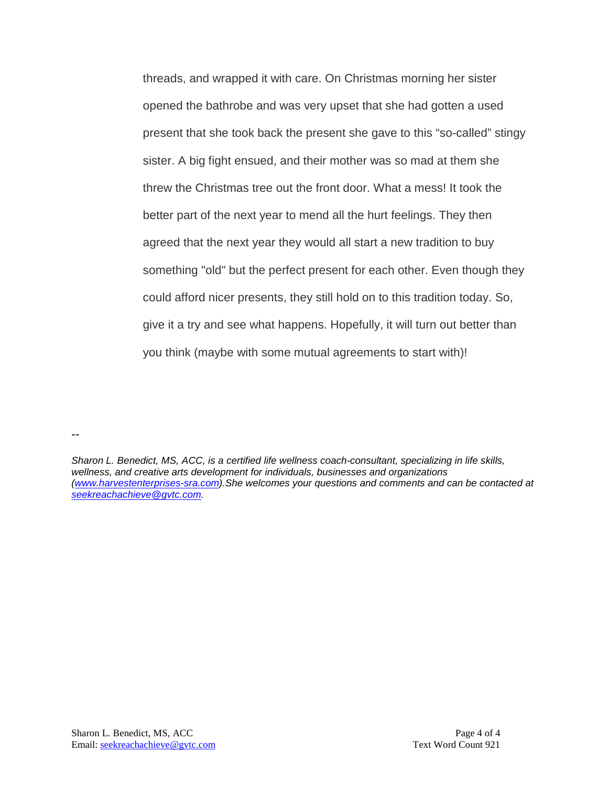threads, and wrapped it with care. On Christmas morning her sister opened the bathrobe and was very upset that she had gotten a used present that she took back the present she gave to this "so-called" stingy sister. A big fight ensued, and their mother was so mad at them she threw the Christmas tree out the front door. What a mess! It took the better part of the next year to mend all the hurt feelings. They then agreed that the next year they would all start a new tradition to buy something "old" but the perfect present for each other. Even though they could afford nicer presents, they still hold on to this tradition today. So, give it a try and see what happens. Hopefully, it will turn out better than you think (maybe with some mutual agreements to start with)!

*Sharon L. Benedict, MS, ACC, is a certified life wellness coach-consultant, specializing in life skills, wellness, and creative arts development for individuals, businesses and organizations [\(www.harvestenterprises-sra.com\)](http://www.harvestenterprises-sra.com/).She welcomes your questions and comments and can be contacted at [seekreachachieve@gvtc.com.](mailto:seekreachachieve@gvtc.com)*

--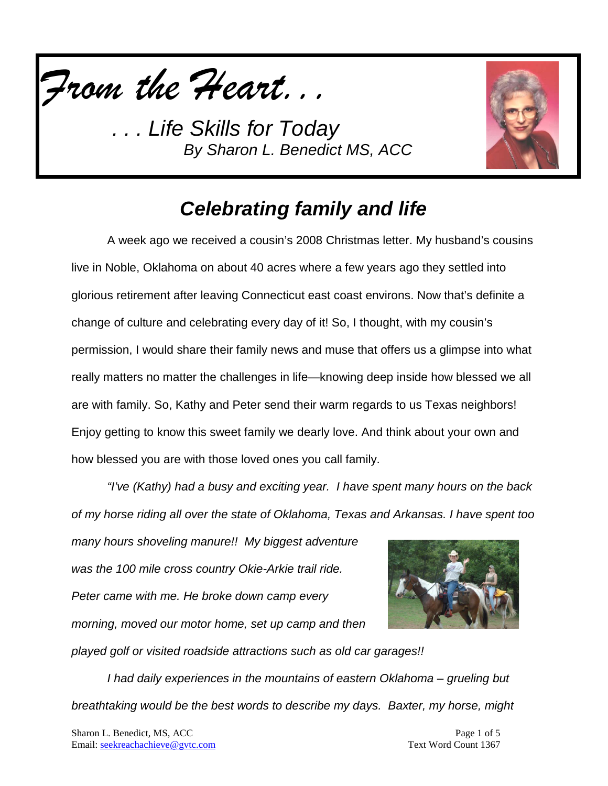



## *Celebrating family and life*

A week ago we received a cousin's 2008 Christmas letter. My husband's cousins live in Noble, Oklahoma on about 40 acres where a few years ago they settled into glorious retirement after leaving Connecticut east coast environs. Now that's definite a change of culture and celebrating every day of it! So, I thought, with my cousin's permission, I would share their family news and muse that offers us a glimpse into what really matters no matter the challenges in life—knowing deep inside how blessed we all are with family. So, Kathy and Peter send their warm regards to us Texas neighbors! Enjoy getting to know this sweet family we dearly love. And think about your own and how blessed you are with those loved ones you call family.

*"I've (Kathy) had a busy and exciting year. I have spent many hours on the back of my horse riding all over the state of Oklahoma, Texas and Arkansas. I have spent too* 

*many hours shoveling manure!! My biggest adventure was the 100 mile cross country Okie-Arkie trail ride. Peter came with me. He broke down camp every morning, moved our motor home, set up camp and then played golf or visited roadside attractions such as old car garages!!* 



*I had daily experiences in the mountains of eastern Oklahoma – grueling but breathtaking would be the best words to describe my days. Baxter, my horse, might*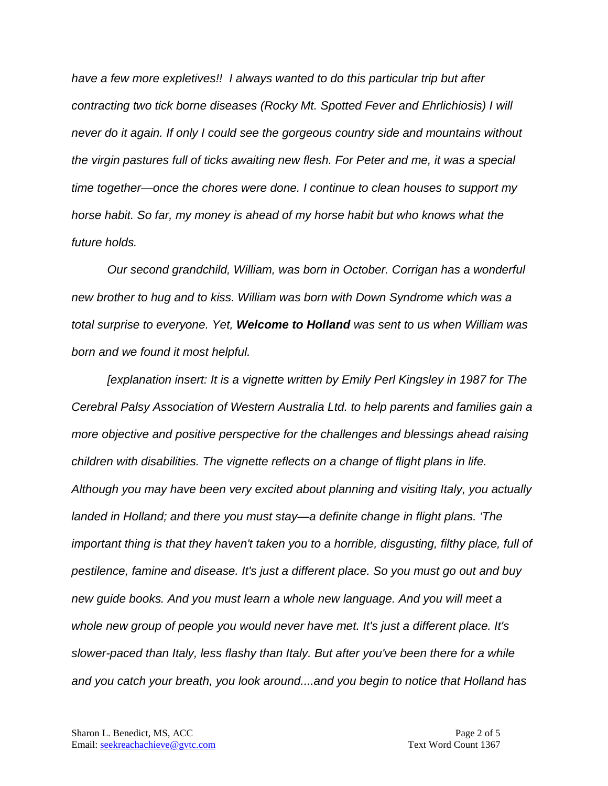*have a few more expletives!! I always wanted to do this particular trip but after contracting two tick borne diseases (Rocky Mt. Spotted Fever and Ehrlichiosis) I will never do it again. If only I could see the gorgeous country side and mountains without the virgin pastures full of ticks awaiting new flesh. For Peter and me, it was a special time together—once the chores were done. I continue to clean houses to support my horse habit. So far, my money is ahead of my horse habit but who knows what the future holds.*

*Our second grandchild, William, was born in October. Corrigan has a wonderful new brother to hug and to kiss. William was born with Down Syndrome which was a total surprise to everyone. Yet, Welcome to Holland was sent to us when William was born and we found it most helpful.* 

*[explanation insert: It is a vignette written by Emily Perl Kingsley in 1987 for The Cerebral Palsy Association of Western Australia Ltd. to help parents and families gain a more objective and positive perspective for the challenges and blessings ahead raising children with disabilities. The vignette reflects on a change of flight plans in life. Although you may have been very excited about planning and visiting Italy, you actually landed in Holland; and there you must stay—a definite change in flight plans. 'The important thing is that they haven't taken you to a horrible, disgusting, filthy place, full of pestilence, famine and disease. It's just a different place. So you must go out and buy new guide books. And you must learn a whole new language. And you will meet a whole new group of people you would never have met. It's just a different place. It's slower-paced than Italy, less flashy than Italy. But after you've been there for a while and you catch your breath, you look around....and you begin to notice that Holland has*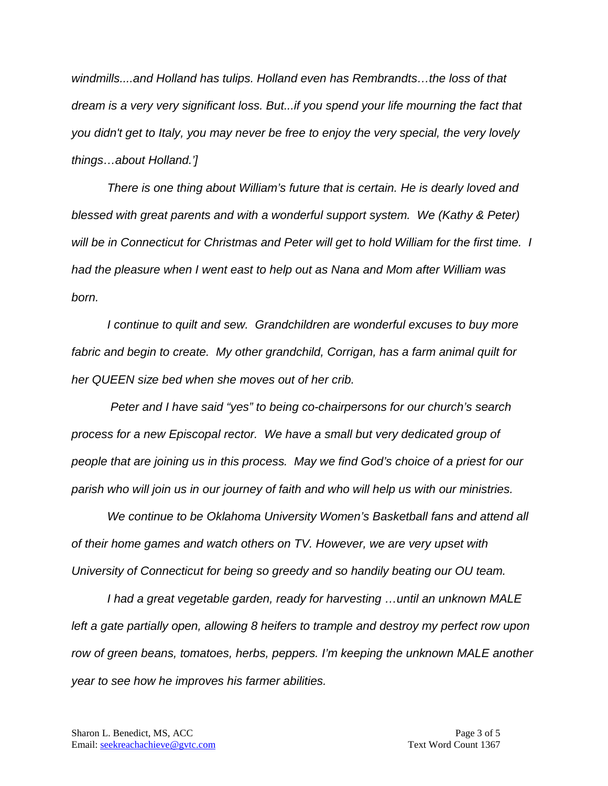*windmills....and Holland has tulips. Holland even has Rembrandts…the loss of that dream is a very very significant loss. But...if you spend your life mourning the fact that you didn't get to Italy, you may never be free to enjoy the very special, the very lovely things…about Holland.']*

*There is one thing about William's future that is certain. He is dearly loved and blessed with great parents and with a wonderful support system. We (Kathy & Peter) will be in Connecticut for Christmas and Peter will get to hold William for the first time. I had the pleasure when I went east to help out as Nana and Mom after William was born.* 

*I continue to quilt and sew. Grandchildren are wonderful excuses to buy more fabric and begin to create. My other grandchild, Corrigan, has a farm animal quilt for her QUEEN size bed when she moves out of her crib.*

*Peter and I have said "yes" to being co-chairpersons for our church's search process for a new Episcopal rector. We have a small but very dedicated group of people that are joining us in this process. May we find God's choice of a priest for our parish who will join us in our journey of faith and who will help us with our ministries.*

*We continue to be Oklahoma University Women's Basketball fans and attend all of their home games and watch others on TV. However, we are very upset with University of Connecticut for being so greedy and so handily beating our OU team.* 

*I had a great vegetable garden, ready for harvesting …until an unknown MALE left a gate partially open, allowing 8 heifers to trample and destroy my perfect row upon row of green beans, tomatoes, herbs, peppers. I'm keeping the unknown MALE another year to see how he improves his farmer abilities.*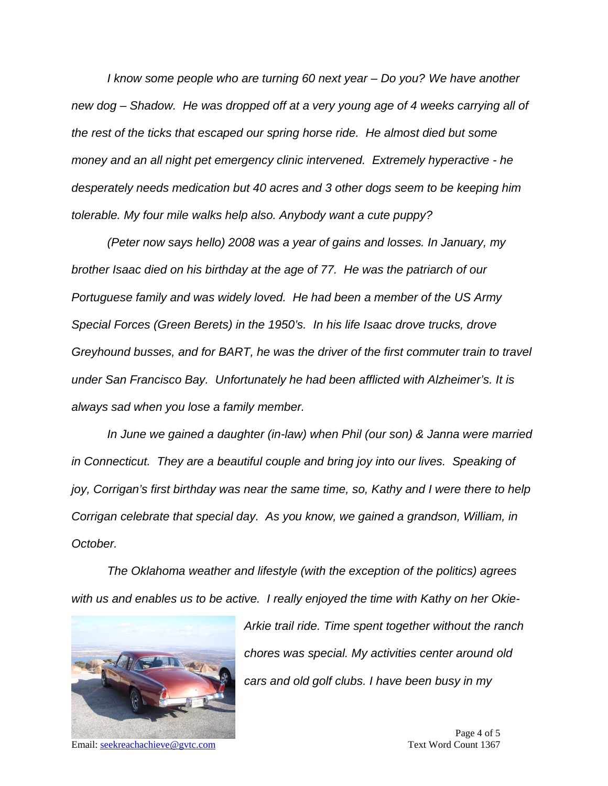*I know some people who are turning 60 next year – Do you? We have another new dog – Shadow. He was dropped off at a very young age of 4 weeks carrying all of the rest of the ticks that escaped our spring horse ride. He almost died but some money and an all night pet emergency clinic intervened. Extremely hyperactive - he desperately needs medication but 40 acres and 3 other dogs seem to be keeping him tolerable. My four mile walks help also. Anybody want a cute puppy?* 

*(Peter now says hello) 2008 was a year of gains and losses. In January, my brother Isaac died on his birthday at the age of 77. He was the patriarch of our Portuguese family and was widely loved. He had been a member of the US Army Special Forces (Green Berets) in the 1950's. In his life Isaac drove trucks, drove Greyhound busses, and for BART, he was the driver of the first commuter train to travel under San Francisco Bay. Unfortunately he had been afflicted with Alzheimer's. It is always sad when you lose a family member.*

*In June we gained a daughter (in-law) when Phil (our son) & Janna were married in Connecticut. They are a beautiful couple and bring joy into our lives. Speaking of joy, Corrigan's first birthday was near the same time, so, Kathy and I were there to help Corrigan celebrate that special day. As you know, we gained a grandson, William, in October.*

*The Oklahoma weather and lifestyle (with the exception of the politics) agrees with us and enables us to be active. I really enjoyed the time with Kathy on her Okie-*



Email: [seekreachachieve@gvtc.com](mailto:seekreachachieve@gvtc.com) Text Word Count 1367

*Arkie trail ride. Time spent together without the ranch chores was special. My activities center around old cars and old golf clubs. I have been busy in my*